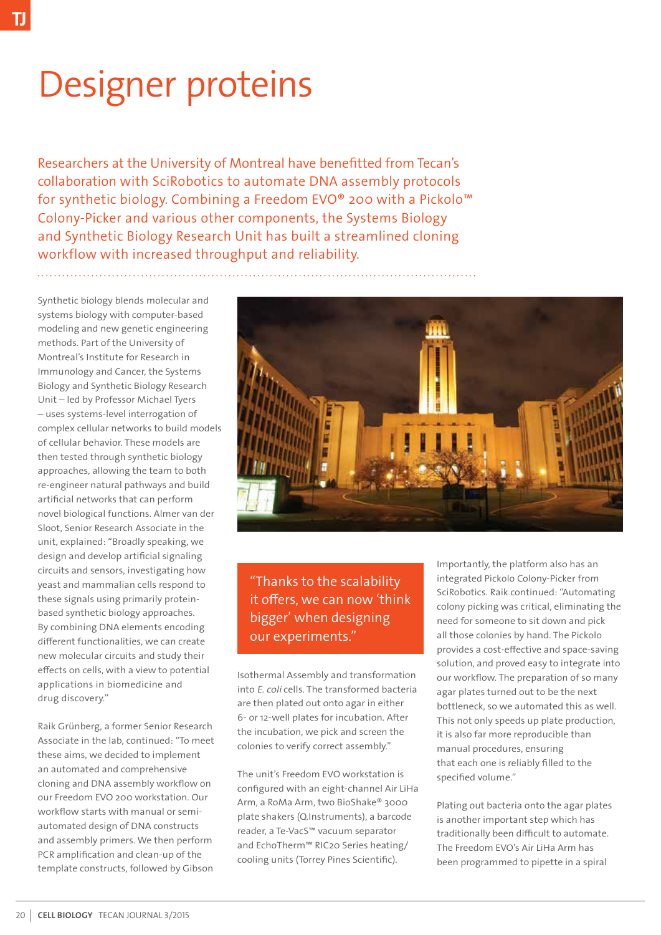## Designer proteins

Researchers at the University of Montreal have benefitted from Tecan's collaboration with SciRobotics to automate DNA assembly protocols for synthetic biology. Combining a Freedom EVO® 200 with a Pickolo™ Colony-Picker and various other components, the Systems Biology and Synthetic Biology Research Unit has built a streamlined cloning workflow with increased throughput and reliability.

Synthetic biology blends molecular and systems biology with computer-based modeling and new genetic engineering methods. Part of the University of Montreal's Institute for Research in Immunology and Cancer, the Systems Biology and Synthetic Biology Research Unit – led by Professor Michael Tyers – uses systems-level interrogation of complex cellular networks to build models of cellular behavior. These models are then tested through synthetic biology approaches, allowing the team to both re-engineer natural pathways and build artificial networks that can perform novel biological functions. Almer van der Sloot, Senior Research Associate in the unit, explained: "Broadly speaking, we design and develop artificial signaling circuits and sensors, investigating how yeast and mammalian cells respond to these signals using primarily proteinbased synthetic biology approaches. By combining DNA elements encoding different functionalities, we can create new molecular circuits and study their effects on cells, with a view to potential applications in biomedicine and drug discovery."

Raik Grünberg, a former Senior Research Associate in the lab, continued: "To meet these aims, we decided to implement an automated and comprehensive cloning and DNA assembly workflow on our Freedom EVO 200 workstation. Our workflow starts with manual or semiautomated design of DNA constructs and assembly primers. We then perform PCR amplification and clean-up of the template constructs, followed by Gibson



"Thanks to the scalability it offers, we can now 'think bigger' when designing our experiments."

Isothermal Assembly and transformation into E. coli cells. The transformed bacteria are then plated out onto agar in either 6- or 12-well plates for incubation. After the incubation, we pick and screen the colonies to verify correct assembly."

The unit's Freedom EVO workstation is configured with an eight-channel Air LiHa Arm, a RoMa Arm, two BioShake® 3000 plate shakers (Q.Instruments), a barcode reader, a Te-VacS™ vacuum separator and EchoTherm™ RIC20 Series heating/ cooling units (Torrey Pines Scientific).

Importantly, the platform also has an integrated Pickolo Colony-Picker from SciRobotics. Raik continued: "Automating colony picking was critical, eliminating the need for someone to sit down and pick all those colonies by hand. The Pickolo provides a cost-effective and space-saving solution, and proved easy to integrate into our workflow. The preparation of so many agar plates turned out to be the next bottleneck, so we automated this as well. This not only speeds up plate production, it is also far more reproducible than manual procedures, ensuring that each one is reliably filled to the specified volume."

Plating out bacteria onto the agar plates is another important step which has traditionally been difficult to automate. The Freedom EVO's Air LiHa Arm has been programmed to pipette in a spiral